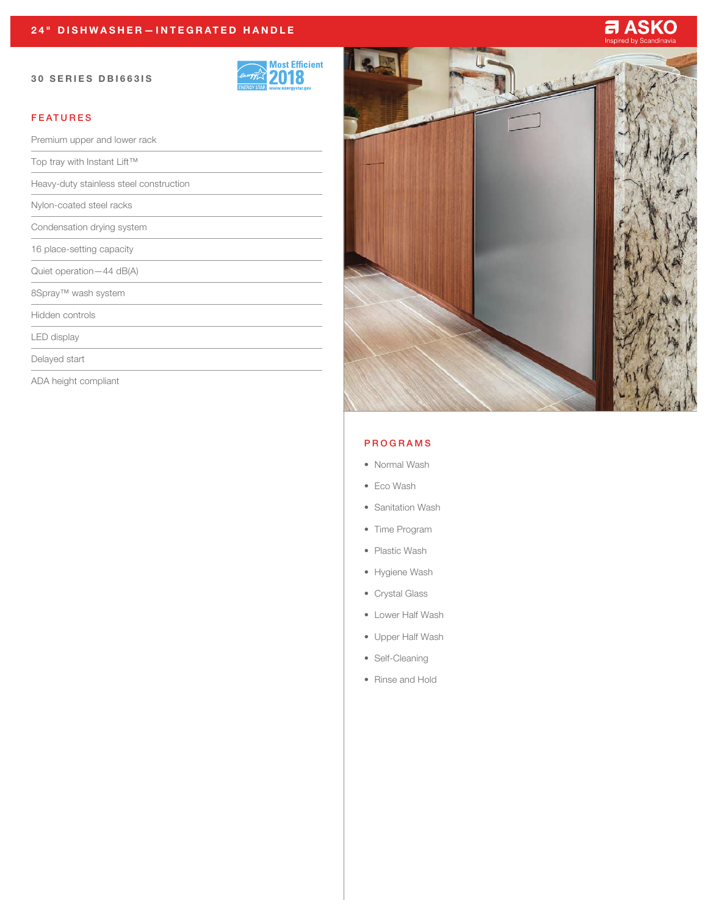#### 30 SERIES DBI663IS



# FEATURES

Premium upper and lower rack Top tray with Instant Lift™ Heavy-duty stainless steel construction Nylon-coated steel racks Condensation drying system 16 place-setting capacity Quiet operation—44 dB(A) 8Spray™ wash system Hidden controls LED display Delayed start

ADA height compliant



### PROGRAMS

- Normal Wash
- Eco Wash
- Sanitation Wash
- Time Program
- Plastic Wash
- Hygiene Wash
- Crystal Glass
- Lower Half Wash
- Upper Half Wash
- Self-Cleaning
- Rinse and Hold